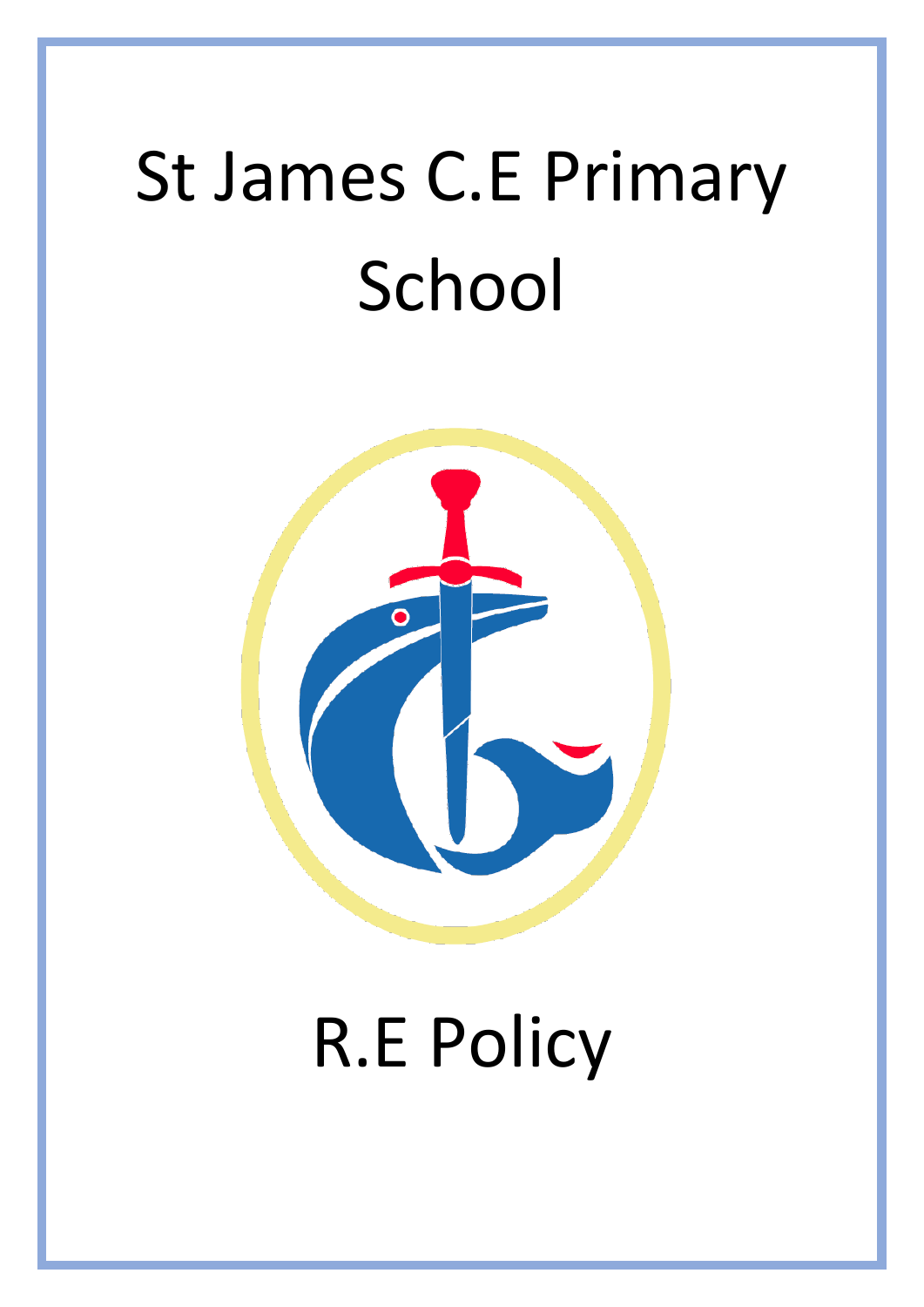# St James C.E Primary School



## R.E Policy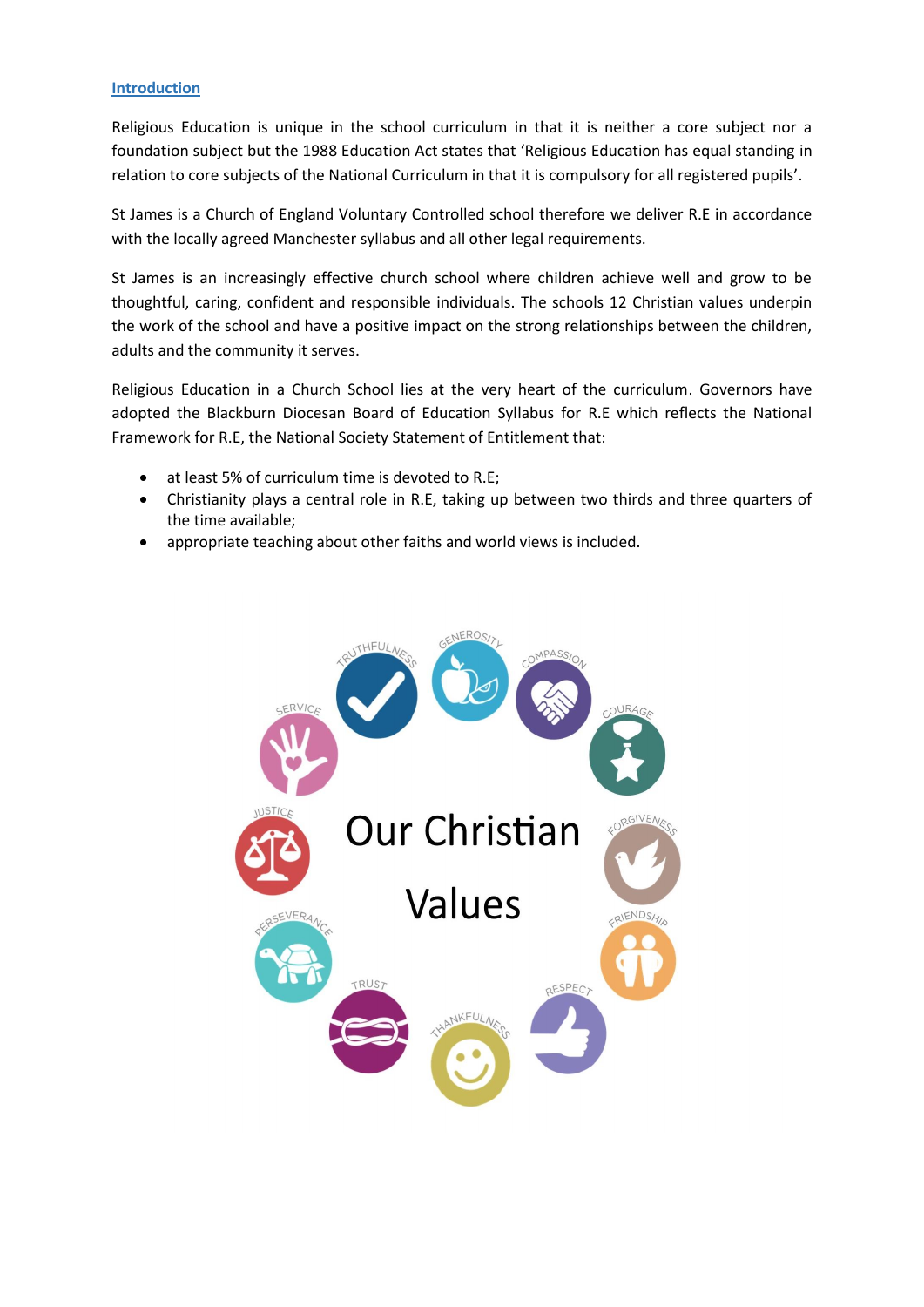#### **Introduction**

Religious Education is unique in the school curriculum in that it is neither a core subject nor a foundation subject but the 1988 Education Act states that 'Religious Education has equal standing in relation to core subjects of the National Curriculum in that it is compulsory for all registered pupils'.

St James is a Church of England Voluntary Controlled school therefore we deliver R.E in accordance with the locally agreed Manchester syllabus and all other legal requirements.

St James is an increasingly effective church school where children achieve well and grow to be thoughtful, caring, confident and responsible individuals. The schools 12 Christian values underpin the work of the school and have a positive impact on the strong relationships between the children, adults and the community it serves.

Religious Education in a Church School lies at the very heart of the curriculum. Governors have adopted the Blackburn Diocesan Board of Education Syllabus for R.E which reflects the National Framework for R.E, the National Society Statement of Entitlement that:

- at least 5% of curriculum time is devoted to R.E;
- Christianity plays a central role in R.E, taking up between two thirds and three quarters of the time available;
- appropriate teaching about other faiths and world views is included.

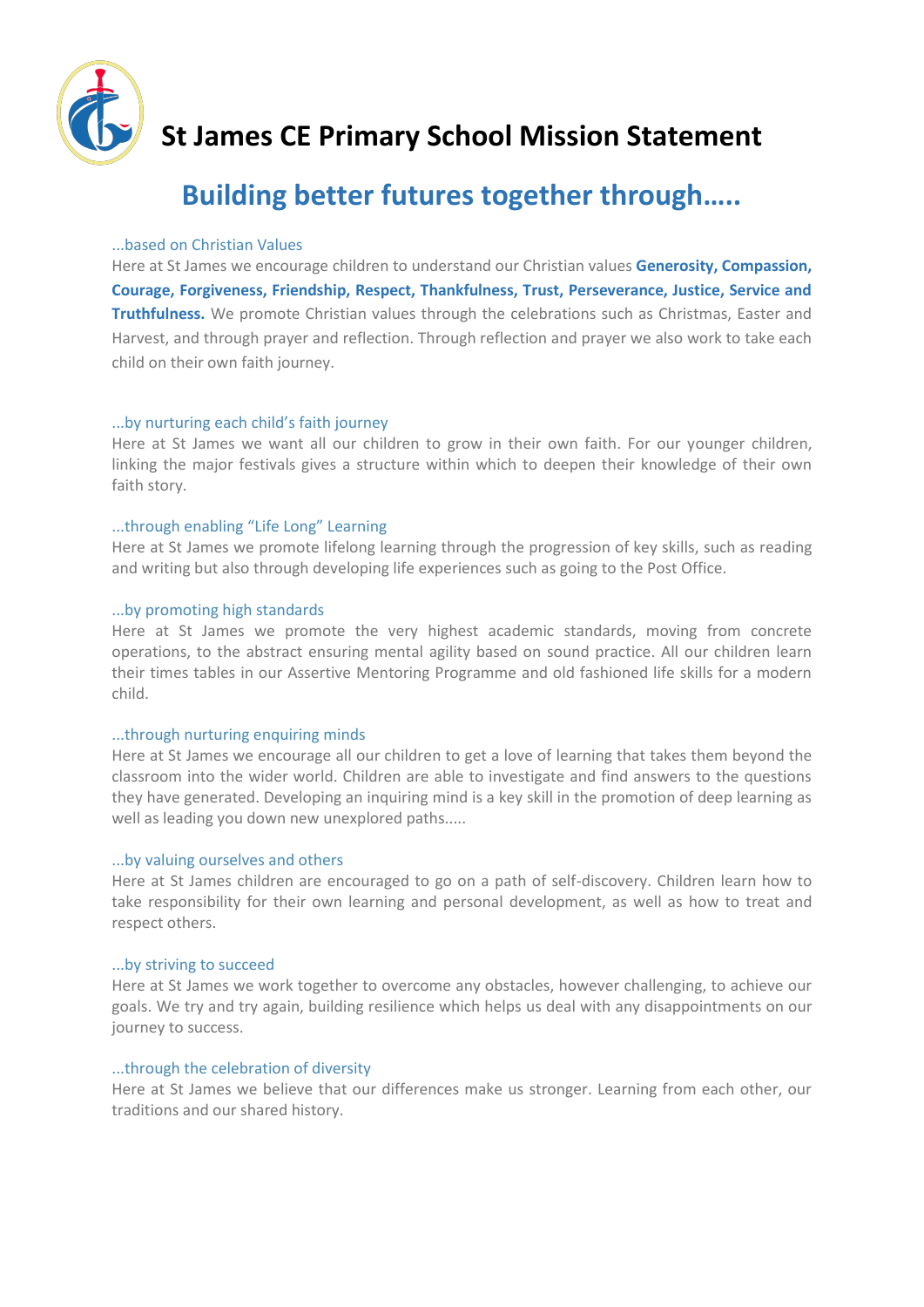

## **St James CE Primary School Mission Statement**

## **Building better futures together through…..**

#### ...based on Christian Values

Here at St James we encourage children to understand our Christian values **Generosity, Compassion, Courage, Forgiveness, Friendship, Respect, Thankfulness, Trust, Perseverance, Justice, Service and Truthfulness.** We promote Christian values through the celebrations such as Christmas, Easter and Harvest, and through prayer and reflection. Through reflection and prayer we also work to take each child on their own faith journey.

#### ...by nurturing each child's faith journey

Here at St James we want all our children to grow in their own faith. For our younger children, linking the major festivals gives a structure within which to deepen their knowledge of their own faith story.

#### ...through enabling "Life Long" Learning

Here at St James we promote lifelong learning through the progression of key skills, such as reading and writing but also through developing life experiences such as going to the Post Office.

#### ...by promoting high standards

Here at St James we promote the very highest academic standards, moving from concrete operations, to the abstract ensuring mental agility based on sound practice. All our children learn their times tables in our Assertive Mentoring Programme and old fashioned life skills for a modern child.

#### ...through nurturing enquiring minds

Here at St James we encourage all our children to get a love of learning that takes them beyond the classroom into the wider world. Children are able to investigate and find answers to the questions they have generated. Developing an inquiring mind is a key skill in the promotion of deep learning as well as leading you down new unexplored paths.....

#### ...by valuing ourselves and others

Here at St James children are encouraged to go on a path of self-discovery. Children learn how to take responsibility for their own learning and personal development, as well as how to treat and respect others.

#### ...by striving to succeed

Here at St James we work together to overcome any obstacles, however challenging, to achieve our goals. We try and try again, building resilience which helps us deal with any disappointments on our journey to success.

#### ...through the celebration of diversity

Here at St James we believe that our differences make us stronger. Learning from each other, our traditions and our shared history.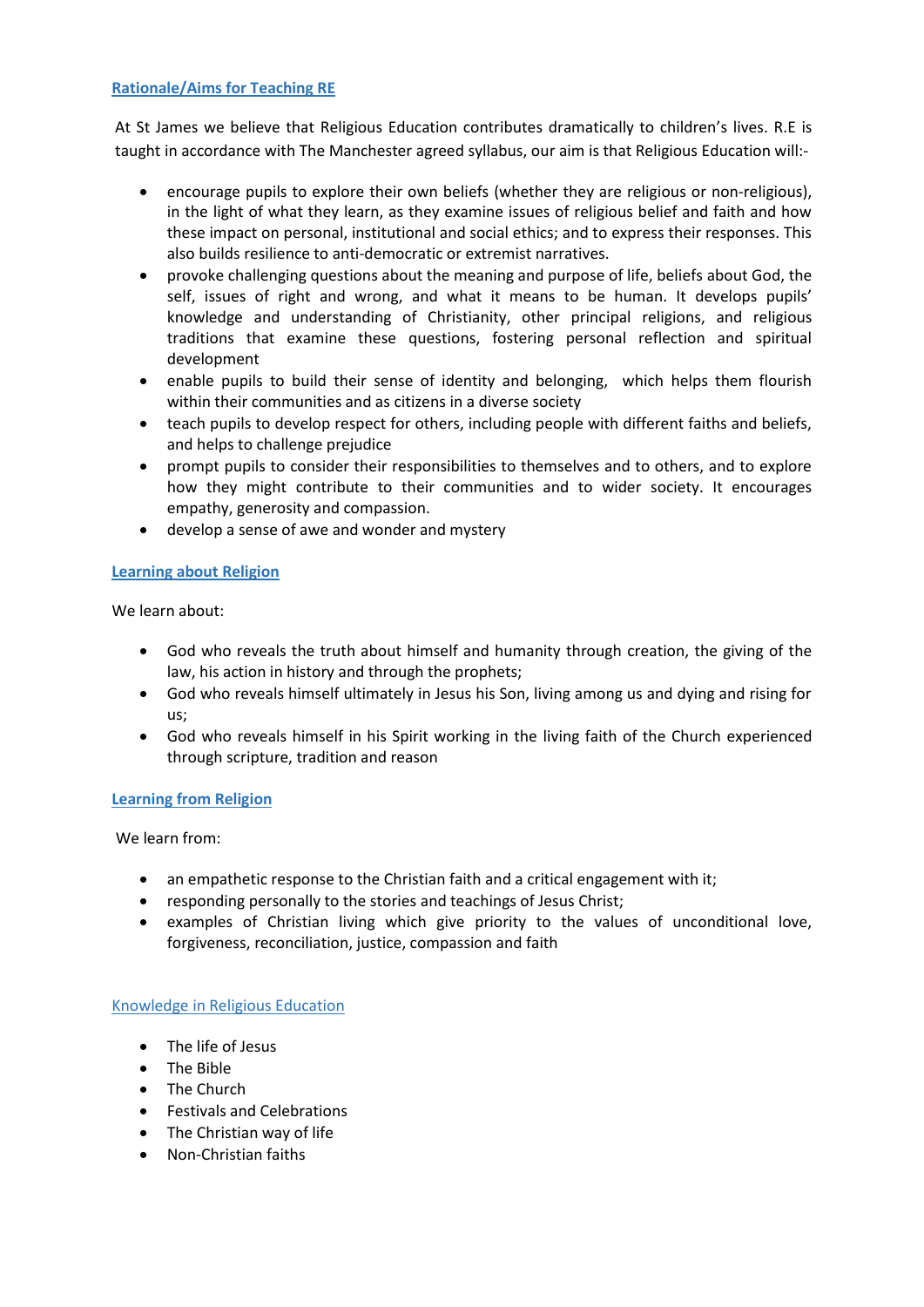#### **Rationale/Aims for Teaching RE**

At St James we believe that Religious Education contributes dramatically to children's lives. R.E is taught in accordance with The Manchester agreed syllabus, our aim is that Religious Education will:-

- encourage pupils to explore their own beliefs (whether they are religious or non-religious), in the light of what they learn, as they examine issues of religious belief and faith and how these impact on personal, institutional and social ethics; and to express their responses. This also builds resilience to anti-democratic or extremist narratives.
- provoke challenging questions about the meaning and purpose of life, beliefs about God, the self, issues of right and wrong, and what it means to be human. It develops pupils' knowledge and understanding of Christianity, other principal religions, and religious traditions that examine these questions, fostering personal reflection and spiritual development
- enable pupils to build their sense of identity and belonging, which helps them flourish within their communities and as citizens in a diverse society
- teach pupils to develop respect for others, including people with different faiths and beliefs, and helps to challenge prejudice
- prompt pupils to consider their responsibilities to themselves and to others, and to explore how they might contribute to their communities and to wider society. It encourages empathy, generosity and compassion.
- develop a sense of awe and wonder and mystery

#### **Learning about Religion**

We learn about:

- God who reveals the truth about himself and humanity through creation, the giving of the law, his action in history and through the prophets;
- God who reveals himself ultimately in Jesus his Son, living among us and dying and rising for us;
- God who reveals himself in his Spirit working in the living faith of the Church experienced through scripture, tradition and reason

#### **Learning from Religion**

We learn from:

- an empathetic response to the Christian faith and a critical engagement with it;
- responding personally to the stories and teachings of Jesus Christ;
- examples of Christian living which give priority to the values of unconditional love, forgiveness, reconciliation, justice, compassion and faith

#### Knowledge in Religious Education

- The life of Jesus
- The Bible
- The Church
- Festivals and Celebrations
- The Christian way of life
- Non-Christian faiths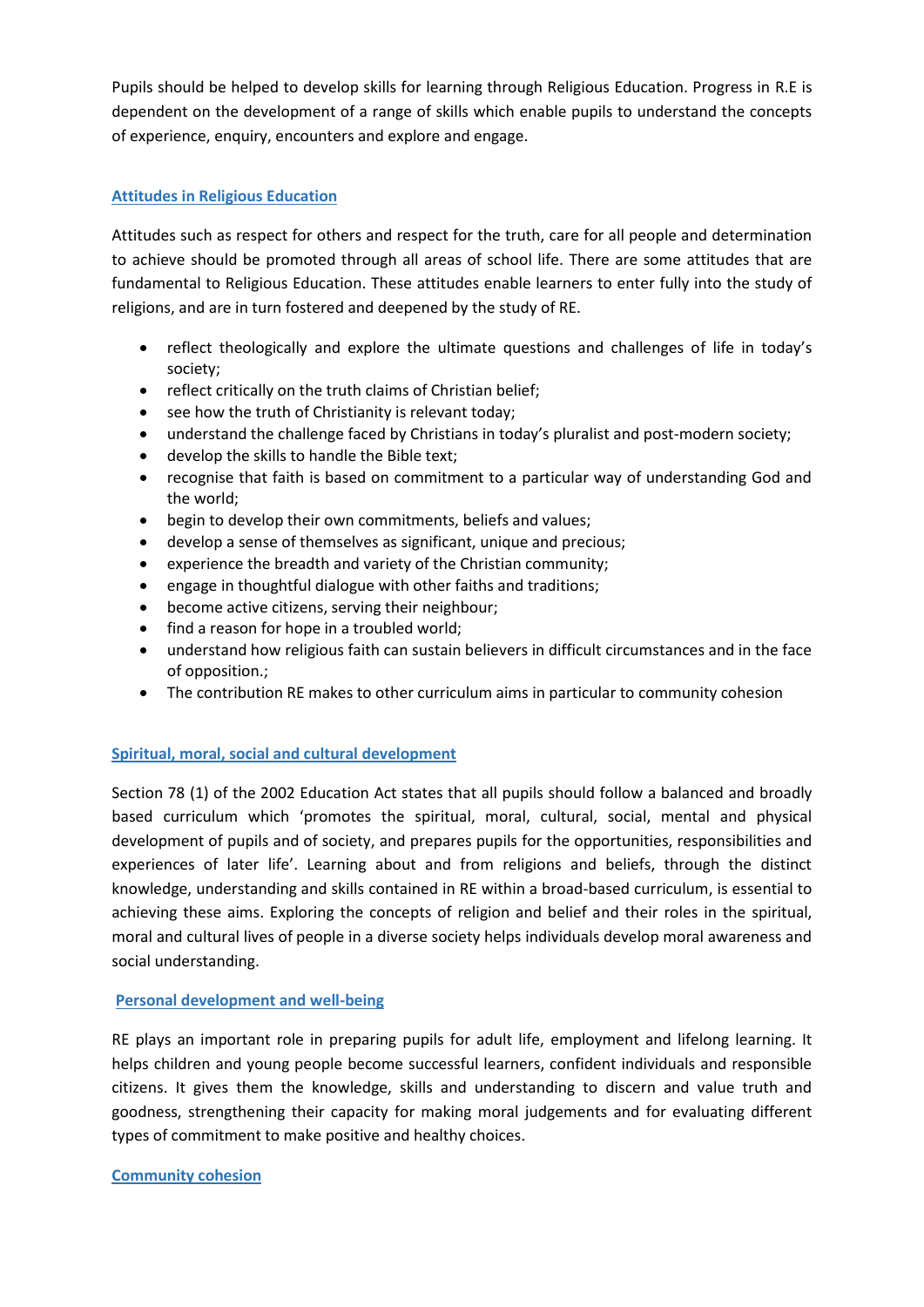Pupils should be helped to develop skills for learning through Religious Education. Progress in R.E is dependent on the development of a range of skills which enable pupils to understand the concepts of experience, enquiry, encounters and explore and engage.

#### **Attitudes in Religious Education**

Attitudes such as respect for others and respect for the truth, care for all people and determination to achieve should be promoted through all areas of school life. There are some attitudes that are fundamental to Religious Education. These attitudes enable learners to enter fully into the study of religions, and are in turn fostered and deepened by the study of RE.

- reflect theologically and explore the ultimate questions and challenges of life in today's society;
- reflect critically on the truth claims of Christian belief;
- see how the truth of Christianity is relevant today;
- understand the challenge faced by Christians in today's pluralist and post-modern society;
- develop the skills to handle the Bible text;
- recognise that faith is based on commitment to a particular way of understanding God and the world;
- begin to develop their own commitments, beliefs and values;
- develop a sense of themselves as significant, unique and precious;
- experience the breadth and variety of the Christian community;
- engage in thoughtful dialogue with other faiths and traditions;
- become active citizens, serving their neighbour;
- find a reason for hope in a troubled world;
- understand how religious faith can sustain believers in difficult circumstances and in the face of opposition.;
- The contribution RE makes to other curriculum aims in particular to community cohesion

#### **Spiritual, moral, social and cultural development**

Section 78 (1) of the 2002 Education Act states that all pupils should follow a balanced and broadly based curriculum which 'promotes the spiritual, moral, cultural, social, mental and physical development of pupils and of society, and prepares pupils for the opportunities, responsibilities and experiences of later life'. Learning about and from religions and beliefs, through the distinct knowledge, understanding and skills contained in RE within a broad-based curriculum, is essential to achieving these aims. Exploring the concepts of religion and belief and their roles in the spiritual, moral and cultural lives of people in a diverse society helps individuals develop moral awareness and social understanding.

#### **Personal development and well-being**

RE plays an important role in preparing pupils for adult life, employment and lifelong learning. It helps children and young people become successful learners, confident individuals and responsible citizens. It gives them the knowledge, skills and understanding to discern and value truth and goodness, strengthening their capacity for making moral judgements and for evaluating different types of commitment to make positive and healthy choices.

#### **Community cohesion**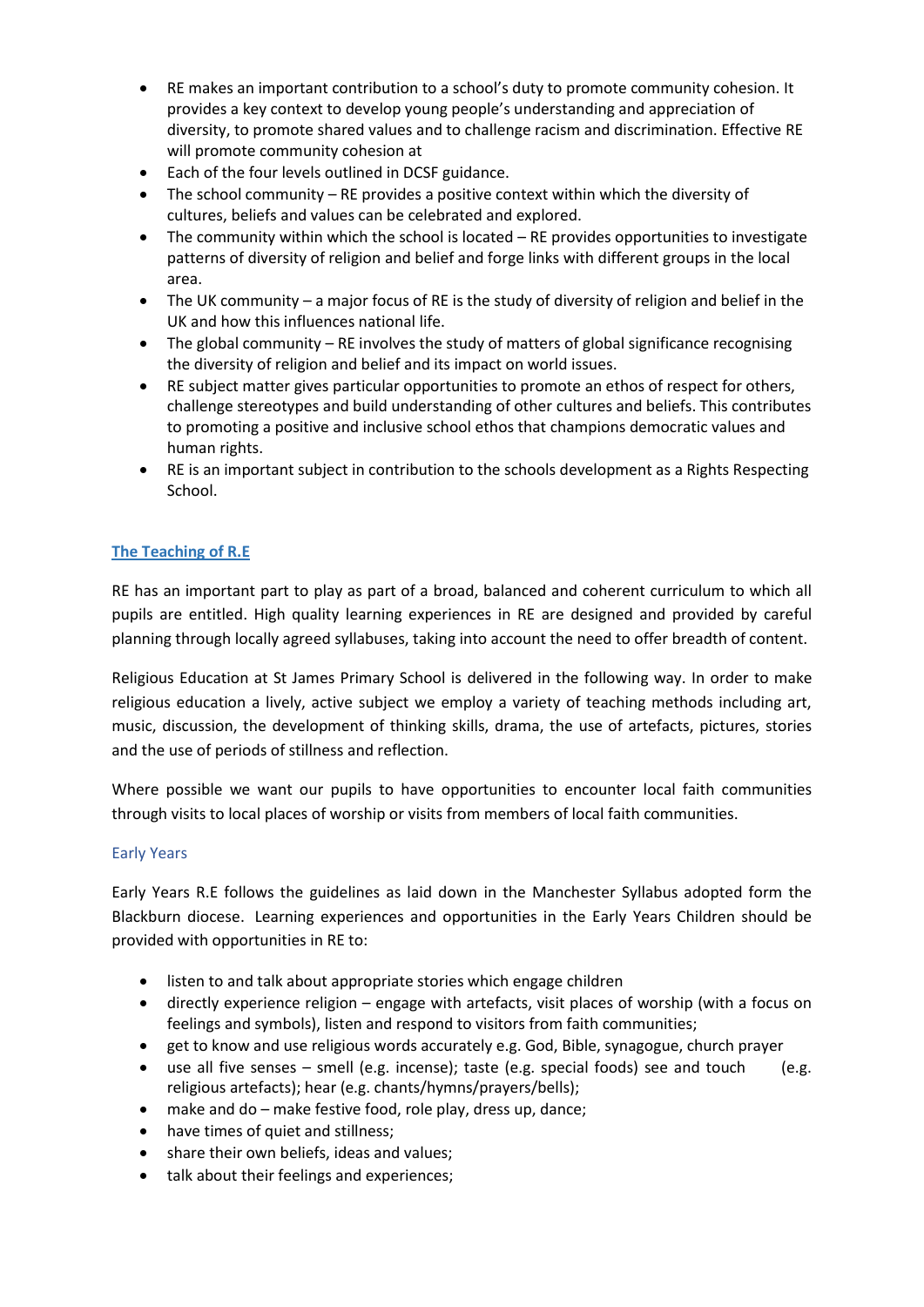- RE makes an important contribution to a school's duty to promote community cohesion. It provides a key context to develop young people's understanding and appreciation of diversity, to promote shared values and to challenge racism and discrimination. Effective RE will promote community cohesion at
- Each of the four levels outlined in DCSF guidance.
- The school community RE provides a positive context within which the diversity of cultures, beliefs and values can be celebrated and explored.
- The community within which the school is located RE provides opportunities to investigate patterns of diversity of religion and belief and forge links with different groups in the local area.
- The UK community a major focus of RE is the study of diversity of religion and belief in the UK and how this influences national life.
- $\bullet$  The global community RE involves the study of matters of global significance recognising the diversity of religion and belief and its impact on world issues.
- RE subject matter gives particular opportunities to promote an ethos of respect for others, challenge stereotypes and build understanding of other cultures and beliefs. This contributes to promoting a positive and inclusive school ethos that champions democratic values and human rights.
- RE is an important subject in contribution to the schools development as a Rights Respecting School.

#### **The Teaching of R.E**

RE has an important part to play as part of a broad, balanced and coherent curriculum to which all pupils are entitled. High quality learning experiences in RE are designed and provided by careful planning through locally agreed syllabuses, taking into account the need to offer breadth of content.

Religious Education at St James Primary School is delivered in the following way. In order to make religious education a lively, active subject we employ a variety of teaching methods including art, music, discussion, the development of thinking skills, drama, the use of artefacts, pictures, stories and the use of periods of stillness and reflection.

Where possible we want our pupils to have opportunities to encounter local faith communities through visits to local places of worship or visits from members of local faith communities.

#### Early Years

Early Years R.E follows the guidelines as laid down in the Manchester Syllabus adopted form the Blackburn diocese. Learning experiences and opportunities in the Early Years Children should be provided with opportunities in RE to:

- listen to and talk about appropriate stories which engage children
- directly experience religion engage with artefacts, visit places of worship (with a focus on feelings and symbols), listen and respond to visitors from faith communities;
- get to know and use religious words accurately e.g. God, Bible, synagogue, church prayer
- use all five senses smell (e.g. incense); taste (e.g. special foods) see and touch (e.g. religious artefacts); hear (e.g. chants/hymns/prayers/bells);
- make and do make festive food, role play, dress up, dance;
- have times of quiet and stillness;
- share their own beliefs, ideas and values;
- talk about their feelings and experiences;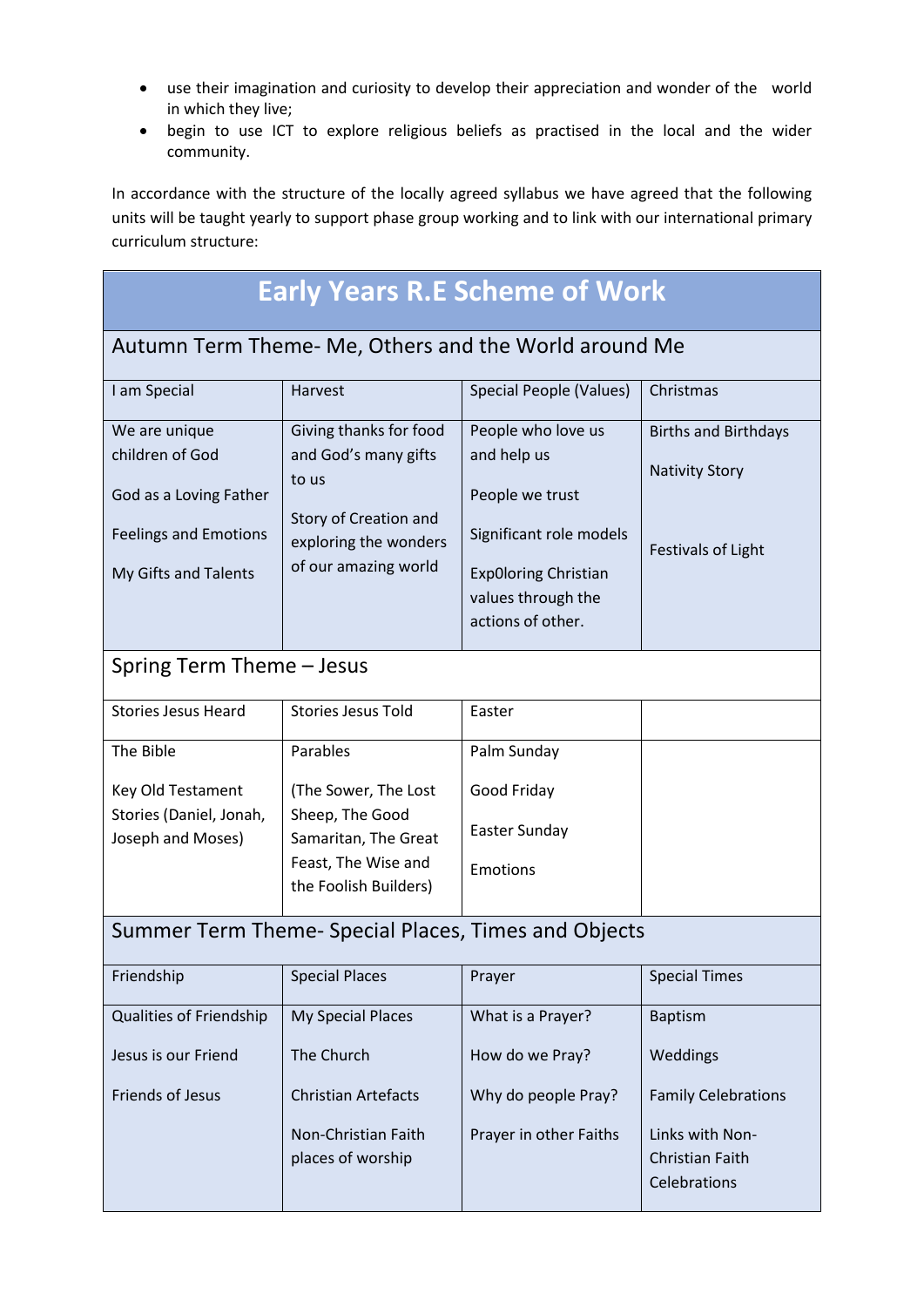- use their imagination and curiosity to develop their appreciation and wonder of the world in which they live;
- begin to use ICT to explore religious beliefs as practised in the local and the wider community.

In accordance with the structure of the locally agreed syllabus we have agreed that the following units will be taught yearly to support phase group working and to link with our international primary curriculum structure:

## **Early Years R.E Scheme of Work**

#### Autumn Term Theme- Me, Others and the World around Me

| I am Special                 | Harvest                                        | Special People (Values)                 | Christmas                   |
|------------------------------|------------------------------------------------|-----------------------------------------|-----------------------------|
| We are unique                | Giving thanks for food                         | People who love us                      | <b>Births and Birthdays</b> |
| children of God              | and God's many gifts                           | and help us                             |                             |
| God as a Loving Father       | to us                                          | People we trust                         | <b>Nativity Story</b>       |
| <b>Feelings and Emotions</b> | Story of Creation and<br>exploring the wonders | Significant role models                 | <b>Festivals of Light</b>   |
| My Gifts and Talents         | of our amazing world                           | <b>ExpOloring Christian</b>             |                             |
|                              |                                                | values through the<br>actions of other. |                             |
|                              |                                                |                                         |                             |

### Spring Term Theme – Jesus

| <b>Stories Jesus Heard</b> | <b>Stories Jesus Told</b> |                 |  |
|----------------------------|---------------------------|-----------------|--|
|                            |                           |                 |  |
| The Bible                  | Parables                  | Palm Sunday     |  |
|                            |                           |                 |  |
| Key Old Testament          | (The Sower, The Lost      | Good Friday     |  |
| Stories (Daniel, Jonah,    | Sheep, The Good           |                 |  |
| Joseph and Moses)          | Samaritan, The Great      | Easter Sunday   |  |
|                            | Feast, The Wise and       |                 |  |
|                            |                           | <b>Emotions</b> |  |
|                            | the Foolish Builders)     |                 |  |
|                            |                           |                 |  |

## Summer Term Theme- Special Places, Times and Objects

| Friendship                     | <b>Special Places</b>      | Prayer                 | <b>Special Times</b>       |  |
|--------------------------------|----------------------------|------------------------|----------------------------|--|
| <b>Qualities of Friendship</b> | My Special Places          | What is a Prayer?      | <b>Baptism</b>             |  |
| Jesus is our Friend            | The Church                 | How do we Pray?        | Weddings                   |  |
| Friends of Jesus               | <b>Christian Artefacts</b> | Why do people Pray?    | <b>Family Celebrations</b> |  |
|                                | Non-Christian Faith        | Prayer in other Faiths | Links with Non-            |  |
|                                | places of worship          |                        | <b>Christian Faith</b>     |  |
|                                |                            |                        | Celebrations               |  |
|                                |                            |                        |                            |  |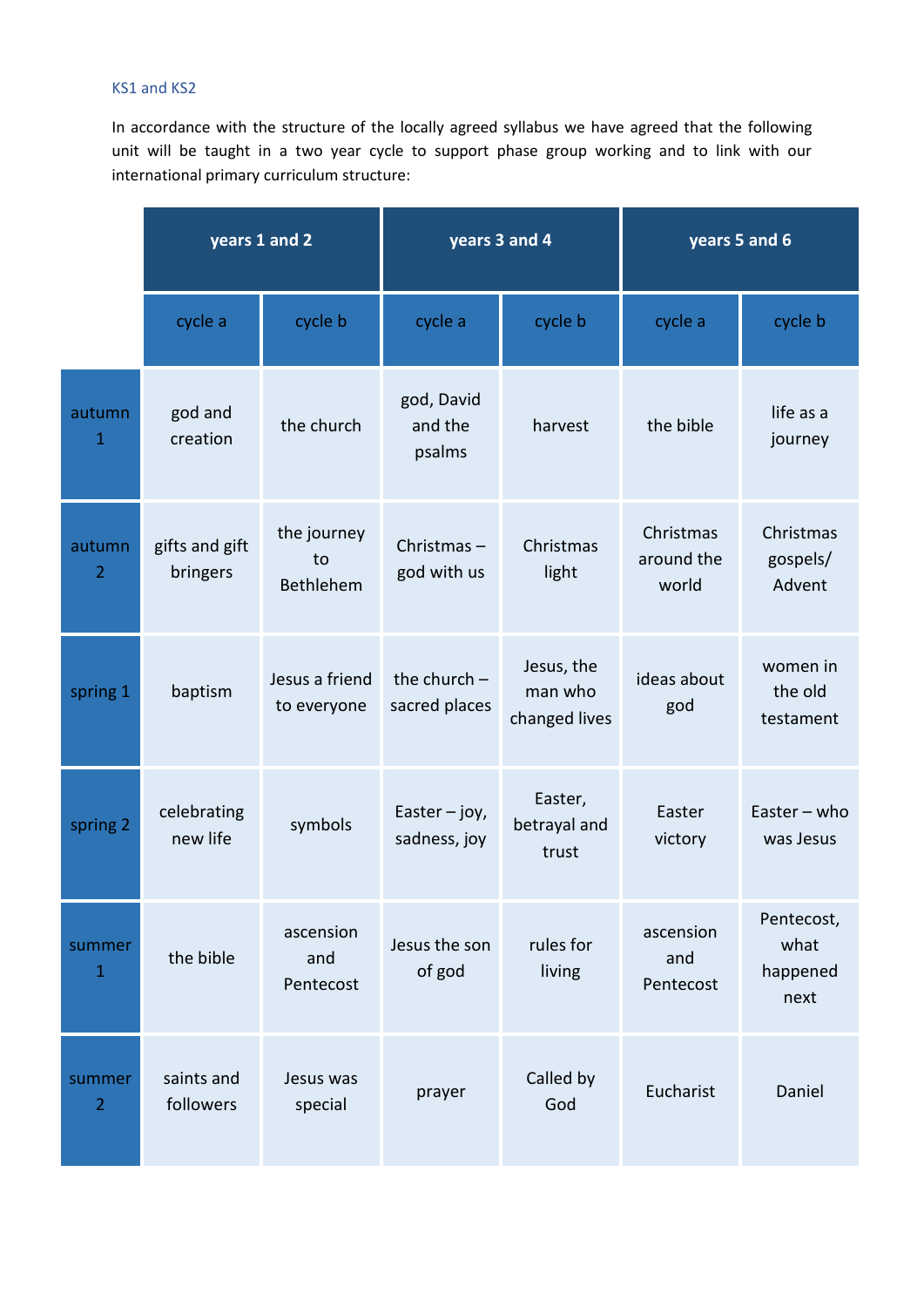#### KS1 and KS2

In accordance with the structure of the locally agreed syllabus we have agreed that the following unit will be taught in a two year cycle to support phase group working and to link with our international primary curriculum structure:

|                          | years 1 and 2              |                                | years 3 and 4                   |                                        | years 5 and 6                    |                                        |
|--------------------------|----------------------------|--------------------------------|---------------------------------|----------------------------------------|----------------------------------|----------------------------------------|
|                          | cycle a                    | cycle b                        | cycle a                         | cycle b                                | cycle a                          | cycle b                                |
| autumn<br>1              | god and<br>creation        | the church                     | god, David<br>and the<br>psalms | harvest                                | the bible                        | life as a<br>journey                   |
| autumn<br>$\overline{2}$ | gifts and gift<br>bringers | the journey<br>to<br>Bethlehem | Christmas-<br>god with us       | Christmas<br>light                     | Christmas<br>around the<br>world | Christmas<br>gospels/<br>Advent        |
| spring 1                 | baptism                    | Jesus a friend<br>to everyone  | the church $-$<br>sacred places | Jesus, the<br>man who<br>changed lives | ideas about<br>god               | women in<br>the old<br>testament       |
| spring 2                 | celebrating<br>new life    | symbols                        | Easter $-$ joy,<br>sadness, joy | Easter,<br>betrayal and<br>trust       | Easter<br>victory                | Easter $-$ who<br>was Jesus            |
| summer<br>$\mathbf{1}$   | the bible                  | ascension<br>and<br>Pentecost  | Jesus the son<br>of god         | rules for<br>living                    | ascension<br>and<br>Pentecost    | Pentecost,<br>what<br>happened<br>next |
| summer<br>$\overline{2}$ | saints and<br>followers    | Jesus was<br>special           | prayer                          | Called by<br>God                       | Eucharist                        | Daniel                                 |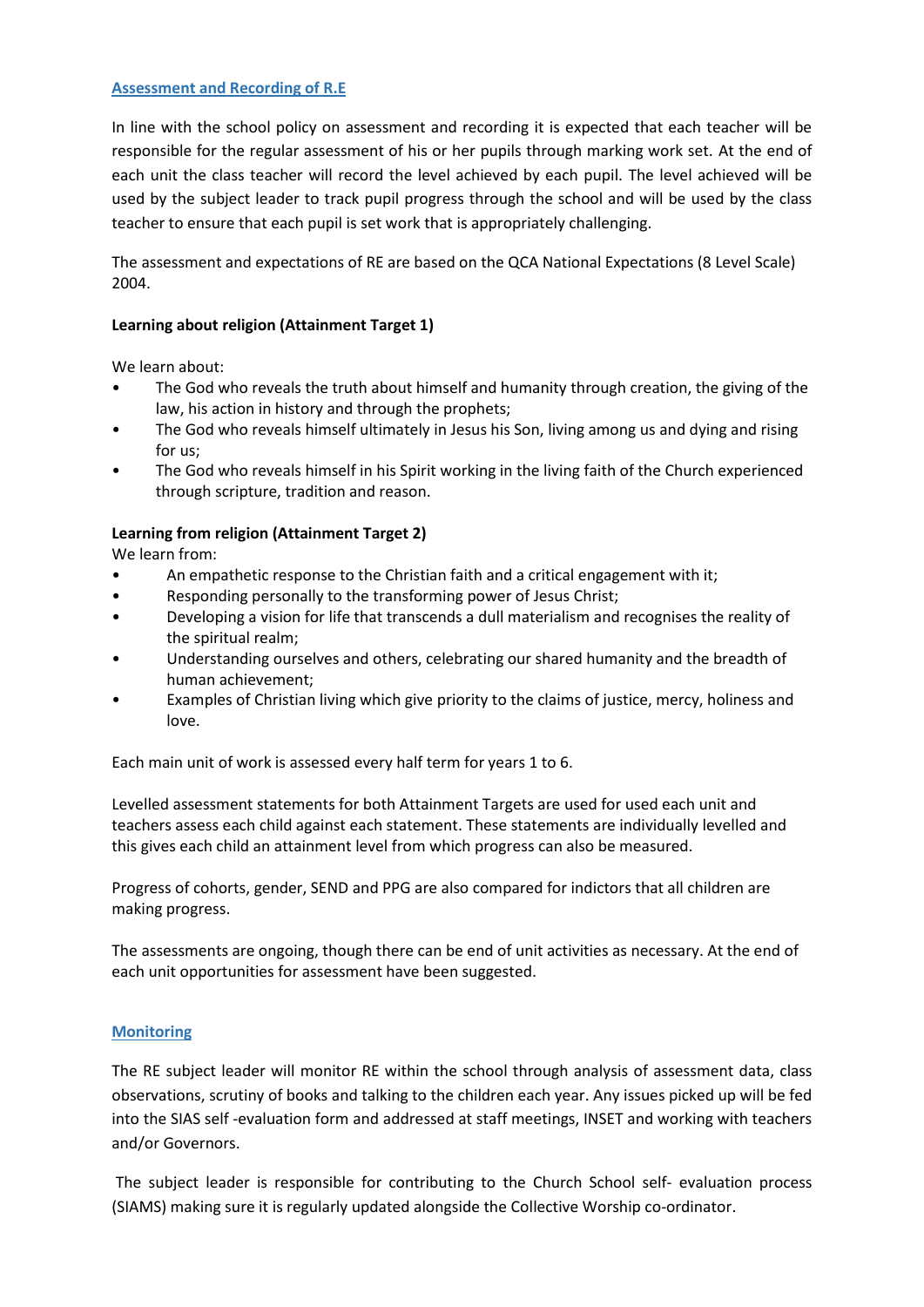#### **Assessment and Recording of R.E**

In line with the school policy on assessment and recording it is expected that each teacher will be responsible for the regular assessment of his or her pupils through marking work set. At the end of each unit the class teacher will record the level achieved by each pupil. The level achieved will be used by the subject leader to track pupil progress through the school and will be used by the class teacher to ensure that each pupil is set work that is appropriately challenging.

The assessment and expectations of RE are based on the QCA National Expectations (8 Level Scale) 2004.

#### **Learning about religion (Attainment Target 1)**

We learn about:

- The God who reveals the truth about himself and humanity through creation, the giving of the law, his action in history and through the prophets;
- The God who reveals himself ultimately in Jesus his Son, living among us and dying and rising for us;
- The God who reveals himself in his Spirit working in the living faith of the Church experienced through scripture, tradition and reason.

#### **Learning from religion (Attainment Target 2)**

We learn from:

- An empathetic response to the Christian faith and a critical engagement with it;
- Responding personally to the transforming power of Jesus Christ;
- Developing a vision for life that transcends a dull materialism and recognises the reality of the spiritual realm;
- Understanding ourselves and others, celebrating our shared humanity and the breadth of human achievement;
- Examples of Christian living which give priority to the claims of justice, mercy, holiness and love.

Each main unit of work is assessed every half term for years 1 to 6.

Levelled assessment statements for both Attainment Targets are used for used each unit and teachers assess each child against each statement. These statements are individually levelled and this gives each child an attainment level from which progress can also be measured.

Progress of cohorts, gender, SEND and PPG are also compared for indictors that all children are making progress.

The assessments are ongoing, though there can be end of unit activities as necessary. At the end of each unit opportunities for assessment have been suggested.

#### **Monitoring**

The RE subject leader will monitor RE within the school through analysis of assessment data, class observations, scrutiny of books and talking to the children each year. Any issues picked up will be fed into the SIAS self -evaluation form and addressed at staff meetings, INSET and working with teachers and/or Governors.

The subject leader is responsible for contributing to the Church School self- evaluation process (SIAMS) making sure it is regularly updated alongside the Collective Worship co-ordinator.